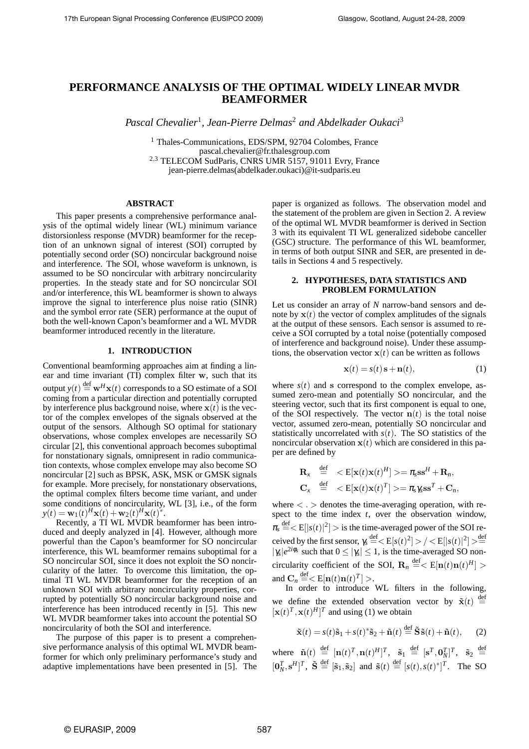# **PERFORMANCE ANALYSIS OF THE OPTIMAL WIDELY LINEAR MVDR BEAMFORMER**

*Pascal Chevalier*<sup>1</sup> *, Jean-Pierre Delmas*<sup>2</sup> *and Abdelkader Oukaci*<sup>3</sup>

<sup>1</sup> Thales-Communications, EDS/SPM, 92704 Colombes, France pascal.chevalier@fr.thalesgroup.com <sup>2</sup>,<sup>3</sup> TELECOM SudParis, CNRS UMR 5157, 91011 Evry, France jean-pierre.delmas(abdelkader.oukaci)@it-sudparis.eu

### **ABSTRACT**

This paper presents a comprehensive performance analysis of the optimal widely linear (WL) minimum variance distorsionless response (MVDR) beamformer for the reception of an unknown signal of interest (SOI) corrupted by potentially second order (SO) noncircular background noise and interference. The SOI, whose waveform is unknown, is assumed to be SO noncircular with arbitrary noncircularity properties. In the steady state and for SO noncircular SOI and/or interference, this WL beamformer is shown to always improve the signal to interference plus noise ratio (SINR) and the symbol error rate (SER) performance at the ouput of both the well-known Capon's beamformer and a WL MVDR beamformer introduced recently in the literature.

### **1. INTRODUCTION**

Conventional beamforming approaches aim at finding a linear and time invariant (TI) complex filter w, such that its output  $y(t) \stackrel{\text{def}}{=} \mathbf{w}^H \mathbf{x}(t)$  corresponds to a SO estimate of a SOI coming from a particular direction and potentially corrupted by interference plus background noise, where  $x(t)$  is the vector of the complex envelopes of the signals observed at the output of the sensors. Although SO optimal for stationary observations, whose complex envelopes are necessarily SO circular [2], this conventional approach becomes suboptimal for nonstationary signals, omnipresent in radio communication contexts, whose complex envelope may also become SO noncircular [2] such as BPSK, ASK, MSK or GMSK signals for example. More precisely, for nonstationary observations, the optimal complex filters become time variant, and under some conditions of noncircularity, WL [3], i.e., of the form  $y(t) = \mathbf{w}_1(t)^H \mathbf{x}(t) + \mathbf{w}_2(t)^H \mathbf{x}(t)^*$ .

Recently, a TI WL MVDR beamformer has been introduced and deeply analyzed in [4]. However, although more powerful than the Capon's beamformer for SO noncircular interference, this WL beamformer remains suboptimal for a SO noncircular SOI, since it does not exploit the SO noncircularity of the latter. To overcome this limitation, the optimal TI WL MVDR beamformer for the reception of an unknown SOI with arbitrary noncircularity properties, corrupted by potentially SO noncircular background noise and interference has been introduced recently in [5]. This new WL MVDR beamformer takes into account the potential SO noncircularity of both the SOI and interference.

The purpose of this paper is to present a comprehensive performance analysis of this optimal WL MVDR beamformer for which only preliminary performance's study and adaptive implementations have been presented in [5]. The paper is organized as follows. The observation model and the statement of the problem are given in Section 2. A review of the optimal WL MVDR beamformer is derived in Section 3 with its equivalent TI WL generalized sidebobe canceller (GSC) structure. The performance of this WL beamformer, in terms of both output SINR and SER, are presented in details in Sections 4 and 5 respectively.

### **2. HYPOTHESES, DATA STATISTICS AND PROBLEM FORMULATION**

Let us consider an array of *N* narrow-band sensors and denote by  $x(t)$  the vector of complex amplitudes of the signals at the output of these sensors. Each sensor is assumed to receive a SOI corrupted by a total noise (potentially composed of interference and background noise). Under these assumptions, the observation vector  $x(t)$  can be written as follows

$$
\mathbf{x}(t) = s(t)\,\mathbf{s} + \mathbf{n}(t),\tag{1}
$$

where  $s(t)$  and s correspond to the complex envelope, assumed zero-mean and potentially SO noncircular, and the steering vector, such that its first component is equal to one, of the SOI respectively. The vector  $n(t)$  is the total noise vector, assumed zero-mean, potentially SO noncircular and statistically uncorrelated with  $s(t)$ . The SO statistics of the noncircular observation  $x(t)$  which are considered in this paper are defined by

$$
\mathbf{R}_{x} \stackrel{\text{def}}{=} \langle \mathbf{E}[\mathbf{x}(t)\mathbf{x}(t)^{H}] \rangle = \pi_{s} \mathbf{s} \mathbf{s}^{H} + \mathbf{R}_{n},
$$
  

$$
\mathbf{C}_{x} \stackrel{\text{def}}{=} \langle \mathbf{E}[\mathbf{x}(t)\mathbf{x}(t)^{T}] \rangle = \pi_{s} \gamma_{s} \mathbf{s} \mathbf{s}^{T} + \mathbf{C}_{n},
$$

where  $\langle \cdot \rangle$  denotes the time-averaging operation, with respect to the time index *t*, over the observation window,  $\pi_s \stackrel{\text{def}}{=} < E[|s(t)|^2] > \text{is the time-averaged power of the SOI re-}$ ceived by the first sensor,  $\gamma_s \stackrel{\text{def}}{=} < E[s(t)^2] > / < E[|s(t)|^2] > \stackrel{\text{def}}{=}$  $|\gamma_s|e^{2i\phi_s}$  such that  $0 \le |\gamma_s| \le 1$ , is the time-averaged SO noncircularity coefficient of the SOI,  $\mathbf{R}_n \stackrel{\text{def}}{=} < E[\mathbf{n}(t)\mathbf{n}(t)^H] >$ and  $\mathbf{C}_n \stackrel{\text{def}}{=} < \mathbf{E}[\mathbf{n}(t)\mathbf{n}(t)^T] >$ .

In order to introduce WL filters in the following, we define the extended observation vector by  $\tilde{\mathbf{x}}(t) \stackrel{\text{def}}{=}$  $[\mathbf{x}(t)^T, \mathbf{x}(t)^H]^T$  and using (1) we obtain

$$
\tilde{\mathbf{x}}(t) = s(t)\tilde{\mathbf{s}}_1 + s(t)^*\tilde{\mathbf{s}}_2 + \tilde{\mathbf{n}}(t) \stackrel{\text{def}}{=} \tilde{\mathbf{S}}\tilde{\mathbf{s}}(t) + \tilde{\mathbf{n}}(t), \qquad (2)
$$

where  $\tilde{\mathbf{n}}(t) \stackrel{\text{def}}{=} [\mathbf{n}(t)^T, \mathbf{n}(t)^H]^T$ ,  $\tilde{\mathbf{s}}_1 \stackrel{\text{def}}{=} [\mathbf{s}^T, \mathbf{0}_N^T]^T$ ,  $\tilde{\mathbf{s}}_2 \stackrel{\text{def}}{=}$  $[\mathbf{0}_N^T, \mathbf{s}^H]^T$ ,  $\tilde{\mathbf{S}} \stackrel{\text{def}}{=} [\tilde{\mathbf{s}}_1, \tilde{\mathbf{s}}_2]$  and  $\tilde{\mathbf{s}}(t) \stackrel{\text{def}}{=} [s(t), s(t)^*]^T$ . The SO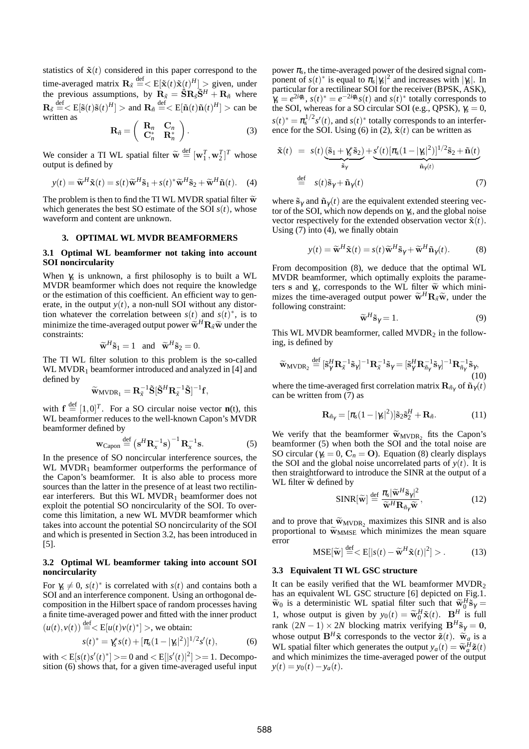statistics of  $\tilde{\mathbf{x}}(t)$  considered in this paper correspond to the time-averaged matrix  $\mathbf{R}_{\tilde{x}} \stackrel{\text{def}}{=} < E[\tilde{\mathbf{x}}(t)\tilde{\mathbf{x}}(t)^{H}] >$  given, under the previous assumptions, by  $\dot{\mathbf{R}}_{\tilde{x}} = \dot{\tilde{\mathbf{S}}} \dot{\mathbf{R}}_{\tilde{s}} \tilde{\mathbf{S}}^H + \mathbf{R}_{\tilde{n}}$  where  $\mathbf{R}_{\tilde{s}} \stackrel{\text{def}}{=} \langle E[\tilde{\mathbf{s}}(t)\tilde{\mathbf{s}}(t)^H] \rangle$  and  $\mathbf{R}_{\tilde{n}} \stackrel{\text{def}}{=} \langle E[\tilde{\mathbf{n}}(t)\tilde{\mathbf{n}}(t)^H] \rangle$  can be written as

$$
\mathbf{R}_{\tilde{n}} = \left( \begin{array}{cc} \mathbf{R}_n & \mathbf{C}_n \\ \mathbf{C}_n^* & \mathbf{R}_n^* \end{array} \right). \tag{3}
$$

We consider a TI WL spatial filter  $\widetilde{\mathbf{w}} \stackrel{\text{def}}{=} [\mathbf{w}_1^T, \mathbf{w}_2^T]^T$  whose output is defined by

$$
y(t) = \widetilde{\mathbf{w}}^H \widetilde{\mathbf{x}}(t) = s(t) \widetilde{\mathbf{w}}^H \widetilde{\mathbf{s}}_1 + s(t)^* \widetilde{\mathbf{w}}^H \widetilde{\mathbf{s}}_2 + \widetilde{\mathbf{w}}^H \widetilde{\mathbf{n}}(t). \tag{4}
$$

The problem is then to find the TI WL MVDR spatial filter  $\widetilde{w}$ which generates the best SO estimate of the SOI  $s(t)$ , whose waveform and content are unknown.

## **3. OPTIMAL WL MVDR BEAMFORMERS**

### **3.1 Optimal WL beamformer not taking into account SOI noncircularity**

When <sup>γ</sup>*<sup>s</sup>* is unknown, a first philosophy is to built a WL MVDR beamformer which does not require the knowledge or the estimation of this coefficient. An efficient way to generate, in the output  $y(t)$ , a non-null SOI without any distortion whatever the correlation between  $s(t)$  and  $s(t)^*$ , is to minimize the time-averaged output power  $\widetilde{\mathbf{w}}^H \mathbf{R}_{\tilde{x}} \widetilde{\mathbf{w}}$  under the constraints:

$$
\widetilde{\mathbf{w}}^H \widetilde{\mathbf{s}}_1 = 1
$$
 and  $\widetilde{\mathbf{w}}^H \widetilde{\mathbf{s}}_2 = 0$ .

The TI WL filter solution to this problem is the so-called WL MVDR<sub>1</sub> beamformer introduced and analyzed in [4] and defined by

$$
\widetilde{\mathbf{w}}_{MVDR_1} = \mathbf{R}_{\widetilde{x}}^{-1} \widetilde{\mathbf{S}} [\widetilde{\mathbf{S}}^H \mathbf{R}_{\widetilde{x}}^{-1} \widetilde{\mathbf{S}}]^{-1} \mathbf{f},
$$

with  $f \stackrel{\text{def}}{=} [1,0]^T$ . For a SO circular noise vector **n**(t), this WL beamformer reduces to the well-known Capon's MVDR beamformer defined by

$$
\mathbf{w}_{\text{Capon}} \stackrel{\text{def}}{=} \left(\mathbf{s}^H \mathbf{R}_x^{-1} \mathbf{s}\right)^{-1} \mathbf{R}_x^{-1} \mathbf{s}.\tag{5}
$$

In the presence of SO noncircular interference sources, the WL  $MVDR<sub>1</sub>$  beamformer outperforms the performance of the Capon's beamformer. It is also able to process more sources than the latter in the presence of at least two rectilinear interferers. But this  $WL MVDR<sub>1</sub>$  beamformer does not exploit the potential SO noncircularity of the SOI. To overcome this limitation, a new WL MVDR beamformer which takes into account the potential SO noncircularity of the SOI and which is presented in Section 3.2, has been introduced in [5].

### **3.2 Optimal WL beamformer taking into account SOI noncircularity**

For  $\gamma_s \neq 0$ ,  $s(t)^*$  is correlated with  $s(t)$  and contains both a SOI and an interference component. Using an orthogonal decomposition in the Hilbert space of random processes having a finite time-averaged power and fitted with the inner product  $(u(t), v(t)) \stackrel{\text{def}}{=} \lt E[u(t)v(t)^*] >$ , we obtain:

$$
s(t)^{*} = \gamma_{s}^{*} s(t) + [\pi_{s}(1-|\gamma_{s}|^{2})]^{1/2} s'(t), \qquad (6)
$$

with  $\langle E[s(t)s'(t)^*] \rangle = 0$  and  $\langle E[|s'(t)|^2] \rangle = 1$ . Decomposition (6) shows that, for a given time-averaged useful input

power  $\pi_s$ , the time-averaged power of the desired signal component of  $s(t)^*$  is equal to  $\pi_s |\gamma_s|^2$  and increases with  $|\gamma_s|$ . In particular for a rectilinear SOI for the receiver (BPSK, ASK),  $\gamma_s = e^{2i\phi_s}$ ,  $s(t)^* = e^{-2i\phi_s} s(t)$  and  $s(t)^*$  totally corresponds to the SOI, whereas for a SO circular SOI (e.g., QPSK), <sup>γ</sup>*<sup>s</sup>* = 0,  $s(t)^* = \pi_s^{1/2} s'(t)$ , and  $s(t)^*$  totally corresponds to an interference for the SOI. Using  $(6)$  in  $(2)$ ,  $\tilde{\mathbf{x}}(t)$  can be written as

$$
\tilde{\mathbf{x}}(t) = s(t) \underbrace{(\tilde{\mathbf{s}}_1 + \gamma_s^* \tilde{\mathbf{s}}_2)}_{\tilde{\mathbf{s}}_\gamma} + \underbrace{s'(t) [\pi_s (1 - |\gamma_s|^2)]^{1/2} \tilde{\mathbf{s}}_2 + \tilde{\mathbf{n}}(t)}_{\tilde{\mathbf{n}}_\gamma(t)}
$$
\n
$$
\stackrel{\text{def}}{=} s(t) \tilde{\mathbf{s}}_\gamma + \tilde{\mathbf{n}}_\gamma(t) \tag{7}
$$

where  $\tilde{\mathbf{s}}_{\gamma}$  and  $\tilde{\mathbf{n}}_{\gamma}(t)$  are the equivalent extended steering vector of the SOI, which now depends on <sup>γ</sup>*<sup>s</sup>* , and the global noise vector respectively for the extended observation vector  $\tilde{\mathbf{x}}(t)$ . Using  $(7)$  into  $(4)$ , we finally obtain

$$
y(t) = \widetilde{\mathbf{w}}^H \widetilde{\mathbf{x}}(t) = s(t) \widetilde{\mathbf{w}}^H \widetilde{\mathbf{s}}_{\gamma} + \widetilde{\mathbf{w}}^H \widetilde{\mathbf{n}}_{\gamma}(t). \tag{8}
$$

From decomposition (8), we deduce that the optimal WL MVDR beamformer, which optimally exploits the parameters s and  $\gamma_s$ , corresponds to the WL filter  $\widetilde{\mathbf{w}}$  which mini-<br>mixes the time systemed output nowes  $\widetilde{\mathbf{w}}_t \mathbf{D} \widetilde{\mathbf{w}}_t$  under the mizes the time-averaged output power  $\widetilde{\mathbf{w}}^H \mathbf{R}_{\tilde{x}} \widetilde{\mathbf{w}}$ , under the following constraint: following constraint:

$$
\widetilde{\mathbf{w}}^H \widetilde{\mathbf{s}}_{\gamma} = 1. \tag{9}
$$

This WL MVDR beamformer, called  $MVDR<sub>2</sub>$  in the following, is defined by

$$
\widetilde{\mathbf{w}}_{MVDR_2} \stackrel{\text{def}}{=} [\widetilde{\mathbf{s}}_{{\gamma}}^H \mathbf{R}_{\widetilde{\mathbf{x}}}^{-1} \widetilde{\mathbf{s}}_{{\gamma}}]^{-1} \mathbf{R}_{\widetilde{\mathbf{x}}}^{-1} \widetilde{\mathbf{s}}_{{\gamma}} = [\widetilde{\mathbf{s}}_{{\gamma}}^H \mathbf{R}_{\widetilde{n}_{{\gamma}}}^{-1} \widetilde{\mathbf{s}}_{{\gamma}}]^{-1} \mathbf{R}_{\widetilde{n}_{{\gamma}}}^{-1} \widetilde{\mathbf{s}}_{{\gamma}},
$$
\n(10)

where the time-averaged first correlation matrix  $\mathbf{R}_{\tilde{n}_{\gamma}}$  of  $\tilde{\mathbf{n}}_{\gamma}(t)$ can be written from (7) as

$$
\mathbf{R}_{\tilde{n}_{\gamma}} = [\pi_{s}(1 - |\gamma_{s}|^{2})] \tilde{\mathbf{s}}_{2} \tilde{\mathbf{s}}_{2}^{H} + \mathbf{R}_{\tilde{n}}.
$$
 (11)

We verify that the beamformer  $\widetilde{w}_{MVDR_2}$  fits the Capon's<br>heamformer (5) when both the SOI and the total poise are beamformer (5) when both the SOI and the total noise are SO circular ( $\gamma_s = 0$ ,  $C_n = 0$ ). Equation (8) clearly displays the SOI and the global noise uncorrelated parts of  $y(t)$ . It is then straightforward to introduce the SINR at the output of a WL filter  $\widetilde{\mathbf{w}}$  defined by

$$
\text{SINR}[\widetilde{\mathbf{w}}] \stackrel{\text{def}}{=} \frac{\pi_s |\widetilde{\mathbf{w}}^H \widetilde{\mathbf{s}}_\gamma|^2}{\widetilde{\mathbf{w}}^H \mathbf{R}_{\widetilde{n}_\gamma} \widetilde{\mathbf{w}}},\tag{12}
$$

and to prove that  $\widetilde{w}_{MVDR}$ , maximizes this SINR and is also proportional to  $\widetilde{w}_{MMSE}$  which minimizes the mean square error

$$
\text{MSE}[\widetilde{\mathbf{w}}] \stackrel{\text{def}}{=} \langle \mathbf{E}[|s(t) - \widetilde{\mathbf{w}}^H \widetilde{\mathbf{x}}(t)|^2] \rangle. \tag{13}
$$

### **3.3 Equivalent TI WL GSC structure**

It can be easily verified that the WL beamformer  $MVDR<sub>2</sub>$ has an equivalent WL GSC structure [6] depicted on Fig.1.  $\widetilde{w}_0$  is a deterministic WL spatial filter such that  $\widetilde{w}_0^H \widetilde{s}_{\gamma} =$ 1, whose output is given by  $y_0(t) = \tilde{w}_0^H \tilde{x}(t)$ . B<sup>H</sup> is full rank  $(2N - 1) \times 2N$  blocking matrix verifying  $B^H \tilde{s}_{\gamma} = 0$ , whose output  $\mathbf{B}^H \tilde{\mathbf{x}}$  corresponds to the vector  $\tilde{\mathbf{z}}(t)$ .  $\tilde{\mathbf{w}}_a$  is a WL spatial filter which generates the output  $y_a(t) = \tilde{w}_a^H \tilde{z}(t)$ and which minimizes the time-averaged power of the output  $y(t) = y_0(t) - y_a(t)$ .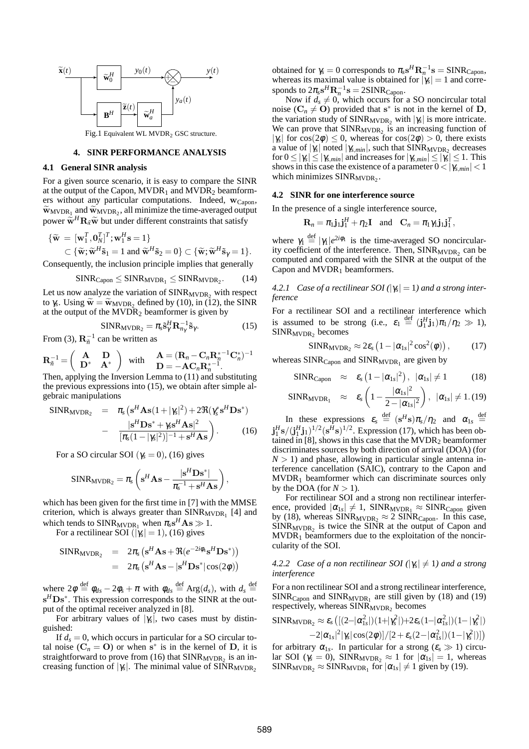

Fig.1 Equivalent WL MVDR<sub>2</sub> GSC structure.

## **4. SINR PERFORMANCE ANALYSIS**

### **4.1 General SINR analysis**

For a given source scenario, it is easy to compare the SINR at the output of the Capon,  $MVDR_1$  and  $MVDR_2$  beamformers without any particular computations. Indeed,  $w_{Capon}$ ,  $\widetilde{w}_{MVDR_1}$  and  $\widetilde{w}_{MVDR_2}$ , all minimize the time-averaged output power  $\widetilde{\mathbf{w}}^H \mathbf{R}_{\tilde{x}} \widetilde{\mathbf{w}}$  but under different constraints that satisfy

$$
\{\widetilde{\mathbf{w}} = [\mathbf{w}_1^T, \mathbf{0}_N^T]^T; \mathbf{w}_1^H \mathbf{s} = 1\}
$$
  
\n
$$
\subset \{\widetilde{\mathbf{w}}; \widetilde{\mathbf{w}}^H \widetilde{\mathbf{s}}_1 = 1 \text{ and } \widetilde{\mathbf{w}}^H \widetilde{\mathbf{s}}_2 = 0\} \subset \{\widetilde{\mathbf{w}}; \widetilde{\mathbf{w}}^H \widetilde{\mathbf{s}}_\gamma = 1\}.
$$

Consequently, the inclusion principle implies that generally

$$
SINR_{Capon} \leq SINR_{MVDR_1} \leq SINR_{MVDR_2}.\tag{14}
$$

Let us now analyze the variation of  $SINR_{MVDR}$ , with respect to  $\gamma_s$ . Using  $\widetilde{\mathbf{w}} = \widetilde{\mathbf{w}}_{MVDR_2}$  defined by (10), in (12), the SINR at the output of the MYDP, heaveformer is given by at the output of the  $MVDR<sub>2</sub>$  beamformer is given by

$$
SINR_{MVDR_2} = \pi_s \tilde{\mathbf{s}}^H_\gamma \mathbf{R}_{n_\gamma}^{-1} \tilde{\mathbf{s}}_\gamma.
$$
 (15)

From (3),  $\mathbf{R}_{\tilde{n}}^{-1}$  can be written as

$$
\mathbf{R}_{\bar{n}}^{-1} = \begin{pmatrix} \mathbf{A} & \mathbf{D} \\ \mathbf{D}^* & \mathbf{A}^* \end{pmatrix} \text{ with } \begin{matrix} \mathbf{A} = (\mathbf{R}_n - \mathbf{C}_n \mathbf{R}_n^{* - 1} \mathbf{C}_n^*)^{-1} \\ \mathbf{D} = -\mathbf{A} \mathbf{C}_n \mathbf{R}_n^{* - 1}. \end{matrix}
$$
  
Then, applying the Inversion Lemma to (11) and substituting

the previous expressions into (15), we obtain after simple algebraic manipulations

$$
\begin{array}{rcl}\n\text{SINR}_{\text{MVDR}_2} &=& \pi_s \left( \mathbf{s}^H \mathbf{A} \mathbf{s} (1+|\gamma_s|^2) + 2 \Re(\gamma_s^* \mathbf{s}^H \mathbf{D} \mathbf{s}^*) \right. \\
& & \quad - \frac{|\mathbf{s}^H \mathbf{D} \mathbf{s}^* + \gamma_s \mathbf{s}^H \mathbf{A} \mathbf{s}|^2}{[\pi_s (1-|\gamma_s|^2)]^{-1} + \mathbf{s}^H \mathbf{A} \mathbf{s}} \bigg) \,.\n\end{array} \tag{16}
$$

For a SO circular SOI ( $\gamma_s = 0$ ), (16) gives

$$
\text{SINR}_{\text{MVDR}_2} = \pi_s \left( \mathbf{s}^H \mathbf{A} \mathbf{s} - \frac{|\mathbf{s}^H \mathbf{D} \mathbf{s}^*|}{\pi_s^{-1} + \mathbf{s}^H \mathbf{A} \mathbf{s}} \right),
$$

which has been given for the first time in [7] with the MMSE criterion, which is always greater than  $SINR<sub>MVDR<sub>1</sub></sub>$  [4] and which tends to  $SINR_{MVDR_1}$  when  $\pi_s s^H \mathbf{A} s \gg 1$ .

For a rectilinear SOI  $(|\gamma_s| = 1)$ , (16) gives

$$
\begin{array}{rcl}\n\text{SINR}_{\text{MVDR}_2} &=& 2\pi_s \left( \mathbf{s}^H \mathbf{A} \mathbf{s} + \Re(e^{-2i\phi_s} \mathbf{s}^H \mathbf{D} \mathbf{s}^*) \right) \\
&=& 2\pi_s \left( \mathbf{s}^H \mathbf{A} \mathbf{s} - |\mathbf{s}^H \mathbf{D} \mathbf{s}^*| \cos(2\phi) \right)\n\end{array}
$$

where  $2\phi \stackrel{\text{def}}{=} \phi_{ds} - 2\phi_s + \pi$  with  $\phi_{ds} \stackrel{\text{def}}{=} \text{Arg}(d_s)$ , with  $d_s \stackrel{\text{def}}{=}$ s<sup>*H*</sup>Ds<sup>∗</sup>. This expression corresponds to the SINR at the output of the optimal receiver analyzed in [8].

For arbitrary values of  $|\gamma_s|$ , two cases must by distinguished:

If  $d_s = 0$ , which occurs in particular for a SO circular total noise  $(C_n = 0)$  or when  $s^*$  is in the kernel of **D**, it is straightforward to prove from  $(16)$  that  $SINR<sub>MVDR<sub>2</sub></sub>$  is an increasing function of  $|\gamma_s|$ . The minimal value of SINR<sub>MVDR<sub>2</sub></sub>

obtained for  $\gamma_s = 0$  corresponds to  $\pi_s s^H \mathbf{R}_n^{-1} s = \text{SINR}_{\text{Capon}}$ , whereas its maximal value is obtained for  $|\gamma_s| = 1$  and corresponds to  $2\pi_s s^H \mathbf{R}_n^{-1} \mathbf{s} = 2\text{SINR}_{\text{Capon}}.$ 

Now if  $d_s \neq 0$ , which occurs for a SO noncircular total noise ( $C_n \neq 0$ ) provided that s<sup>\*</sup> is not in the kernel of D, the variation study of  $SINR_{MVDR_2}$  with  $|\gamma_s|$  is more intricate. We can prove that  $SINR<sub>MVDR<sub>2</sub></sub>$  is an increasing function of  $|\gamma_s|$  for  $\cos(2\phi) \le 0$ , whereas for  $\cos(2\phi) > 0$ , there exists a value of  $|\gamma_s|$  noted  $|\gamma_{s,min}|$ , such that  $\text{SINR}_{\text{MVDR}_2}$  decreases  $f \circ f$   $0 \leq |\gamma_s| \leq |\gamma_{s,min}|$  and increases for  $|\gamma_{s,min}| \leq |\gamma_s| \leq 1$ . This shows in this case the existence of a parameter  $0 < |\gamma_{s,min}| < 1$ which minimizes  $SINR_{MVDR_2}$ .

### **4.2 SINR for one interference source**

In the presence of a single interference source,

$$
\mathbf{R}_n = \pi_1 \mathbf{j}_1 \mathbf{j}_1^H + \eta_2 \mathbf{I} \quad \text{and} \quad \mathbf{C}_n = \pi_1 \gamma_1 \mathbf{j}_1 \mathbf{j}_1^T,
$$

where  $\gamma_1 \stackrel{\text{def}}{=} |\gamma_1|e^{2i\phi_1}$  is the time-averaged SO noncircularity coefficient of the interference. Then,  $SINR<sub>MVDR2</sub>$  can be computed and compared with the SINR at the output of the Capon and  $MVDR<sub>1</sub>$  beamformers.

*4.2.1 Case of a rectilinear SOI* ( $|\gamma_s| = 1$ ) *and a strong interference*

For a rectilinear SOI and a rectilinear interference which is assumed to be strong (i.e.,  $\varepsilon_1 \stackrel{\text{def}}{=} (\mathbf{j}_1^H \mathbf{j}_1) \pi_1 / \eta_2 \gg 1$ ),  $SINR_{MVDR_2}$  becomes

$$
SINR_{MVDR_2} \approx 2\varepsilon_s \left(1 - |\alpha_{1s}|^2 \cos^2(\phi)\right), \tag{17}
$$

whereas  $SINR_{Capon}$  and  $SINR_{MVDR_1}$  are given by

$$
\text{SINR}_{\text{Capon}} \quad \approx \quad \varepsilon_{s} \left( 1 - |\alpha_{1s}|^2 \right), \ \ |\alpha_{1s}| \neq 1 \tag{18}
$$

$$
\text{SINR}_{\text{MVDR}_1} \quad \approx \quad \varepsilon_s \left(1 - \frac{|\alpha_{1s}|^2}{2 - |\alpha_{1s}|^2}\right), \ \ |\alpha_{1s}| \neq 1. \tag{19}
$$

In these expressions  $\varepsilon_s \stackrel{\text{def}}{=} (s^H s) \pi_s / \eta_2$  and  $\alpha_{1s} \stackrel{\text{def}}{=}$  $\mathbf{j}_1^H \mathbf{s} / (\mathbf{j}_1^H \mathbf{j}_1)^{1/2} (\mathbf{s}^H \mathbf{s})^{1/2}$ . Expression (17), which has been obtained in [8], shows in this case that the MVDR<sub>2</sub> beamformer discriminates sources by both direction of arrival (DOA) (for  $N > 1$ ) and phase, allowing in particular single antenna interference cancellation (SAIC), contrary to the Capon and  $MVDR<sub>1</sub>$  beamformer which can discriminate sources only by the DOA (for  $N > 1$ ).

For rectilinear SOI and a strong non rectilinear interference, provided  $|\alpha_{1s}| \neq 1$ , SINR<sub>MVDR<sub>1</sub></sub>  $\approx$  SINR<sub>Capon</sub> given by (18), whereas  $SINR_{MVDR_2} \approx 2 SINR_{Capon}$ . In this case,  $SINR<sub>MVDR<sub>2</sub></sub>$  is twice the SINR at the output of Capon and  $MVDR<sub>1</sub>$  beamformers due to the exploitation of the noncircularity of the SOI.

*4.2.2 Case of a non rectilinear SOI* ( $|\gamma_s| \neq 1$ ) *and a strong interference*

For a non rectilinear SOI and a strong rectilinear interference,  $SINR_{Capon}$  and  $SINR_{MVDR_1}$  are still given by (18) and (19) respectively, whereas  $SINR_{MVDR_2}$  becomes

$$
\begin{aligned} \text{SINR}_{\text{MVDR}_2} &\approx \varepsilon_s \left( [(2-|\alpha_{1s}^2|)(1+|\gamma_s^2|)+2\varepsilon_s(1-|\alpha_{1s}^2|)(1-|\gamma_s^2|) \right. \\ &\left. -2|\alpha_{1s}|^2|\gamma_s|\cos(2\phi)]/[2+\varepsilon_s(2-|\alpha_{1s}^2|)(1-|\gamma_s^2|)] \right) \end{aligned}
$$

for arbitrary  $\alpha_{1s}$ . In particular for a strong  $(\varepsilon_s \gg 1)$  circular SOI ( $\gamma_s = 0$ ), SINR<sub>MVDR<sub>2</sub></sub>  $\approx 1$  for  $|\alpha_{1s}| = 1$ , whereas  $SINR_{MVDR_2} \approx SINR_{MVDR_1}$  for  $|\alpha_{1s}| \neq 1$  given by (19).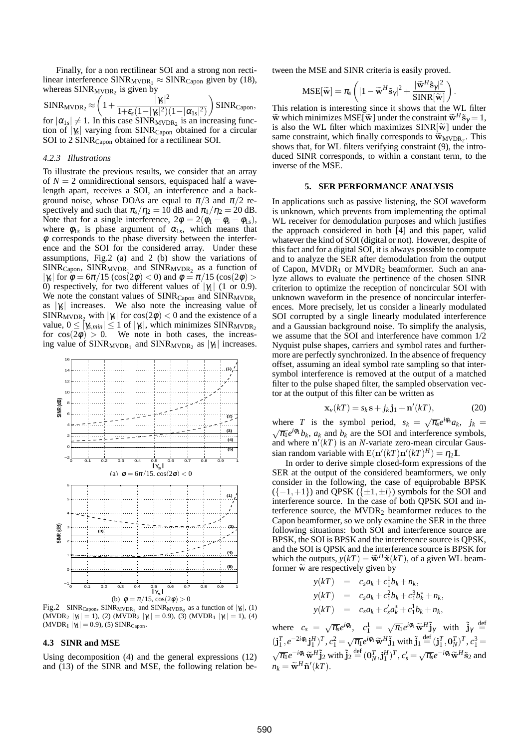Finally, for a non rectilinear SOI and a strong non rectilinear interference  $SINR_{MVDR_1} \approx SINR_{Capon}$  given by (18), whereas  $SINR_{MVDR_2}$  is given by

 $\text{SINR}_{\text{MVDR}_2}$   $\approx$  $\sqrt{ }$  $1+\frac{|\gamma_s|}{1+\gamma(1+|s_1|^2)}$  $|\gamma_s|^2$ 1+ $\varepsilon_s(1-|\gamma_s|^2)(1-|\alpha_{1s}|^2)$  $\overline{ }$  $SINR_{Capon}$ , for  $|\alpha_{1s}|\neq 1$ . In this case SINR<sub>MVDR<sub>2</sub></sub> is an increasing function of  $|\gamma_s|$  varying from SINR<sub>Capon</sub> obtained for a circular SOI to 2 SINR<sub>Capon</sub> obtained for a rectilinear SOI.

### *4.2.3 Illustrations*

To illustrate the previous results, we consider that an array of  $N = 2$  omnidirectional sensors, equispaced half a wavelength apart, receives a SOI, an interference and a background noise, whose DOAs are equal to  $\pi/3$  and  $\pi/2$  respectively and such that  $\pi_s/\eta_2 = 10$  dB and  $\pi_1/\eta_2 = 20$  dB. Note that for a single interference,  $2\phi = 2(\phi_1 - \phi_s - \phi_{1s}),$ where  $\phi_{1s}$  is phase argument of  $\alpha_{1s}$ , which means that  $\phi$  corresponds to the phase diversity between the interference and the SOI for the considered array. Under these assumptions, Fig.2 (a) and 2 (b) show the variations of  $SINR_{Capon}$ ,  $SINR_{MVDR_1}$  and  $SINR_{MVDR_2}$  as a function of |*γ<sub>s</sub>*| for  $\phi = 6\pi/15 \left(\cos(2\phi) < 0\right)$  and  $\phi = \pi/15 \left(\cos(2\phi) > 0\right)$ 0) respectively, for two different values of  $|\gamma_1|$  (1 or 0.9). We note the constant values of  $SINR_{Capon}$  and  $SINR_{MVDR_1}$ as  $|\gamma_s|$  increases. We also note the increasing value of  $SINR_{MVDR_2}$  with  $|\gamma_s|$  for  $cos(2\phi) < 0$  and the existence of a value,  $0 \leq [\gamma_{s,min}] \leq 1$  of  $|\gamma_s|$ , which minimizes SINR<sub>MVDR<sub>2</sub> for cos(2 $\phi$ ) > 0. We note in both cases, the increas-</sub> ing value of  $SINR_{MVDR_1}$  and  $SINR_{MVDR_2}$  as  $|\gamma_1|$  increases.



Fig.2 SINR<sub>Capon</sub>, SINR<sub>MVDR<sub>1</sub></sub> and SINR<sub>MVDR<sub>2</sub> as a function of  $|\gamma_s|$ , (1)</sub> (MVDR<sub>2</sub>  $|\gamma_1| = 1$ ), (2) (MVDR<sub>2</sub>  $|\gamma_1| = 0.9$ ), (3) (MVDR<sub>1</sub>  $|\gamma_1| = 1$ ), (4)  $(MVDR<sub>1</sub> | \gamma<sub>1</sub>| = 0.9)$ , (5) SINR<sub>Capon</sub>.

### **4.3 SINR and MSE**

Using decomposition (4) and the general expressions (12) and (13) of the SINR and MSE, the following relation between the MSE and SINR criteria is easily proved.

$$
\text{MSE}[\widetilde{\mathbf{w}}] = \pi_s \left( |1 - \widetilde{\mathbf{w}}^H \widetilde{\mathbf{s}}_{\gamma}|^2 + \frac{|\widetilde{\mathbf{w}}^H \widetilde{\mathbf{s}}_{\gamma}|^2}{SINR[\widetilde{\mathbf{w}}]}\right)
$$

.

This relation is interesting since it shows that the WL filter  $\widetilde{\mathbf{w}}$  which minimizes MSE[ $\widetilde{\mathbf{w}}$ ] under the constraint  $\widetilde{\mathbf{w}}^H \widetilde{\mathbf{s}}_\gamma = 1$ , is also the WI filter which maximizes SIND[ $\widetilde{\mathbf{w}}^1$  under the is also the WL filter which maximizes  $SINR[\tilde{w}]$  under the same constraint, which finally corresponds to  $\widetilde{w}_{MVDR_2}$ . This shows that for  $W_1$  filters verifying constraint (0) the introshows that, for WL filters verifying constraint (9), the introduced SINR corresponds, to within a constant term, to the inverse of the MSE.

### **5. SER PERFORMANCE ANALYSIS**

In applications such as passive listening, the SOI waveform is unknown, which prevents from implementing the optimal WL receiver for demodulation purposes and which justifies the approach considered in both [4] and this paper, valid whatever the kind of SOI (digital or not). However, despite of thisfact and for a digital SOI, it is always possible to compute and to analyze the SER after demodulation from the output of Capon,  $MVDR_1$  or  $MVDR_2$  beamformer. Such an analyze allows to evaluate the pertinence of the chosen SINR criterion to optimize the reception of noncircular SOI with unknown waveform in the presence of noncircular interferences. More precisely, let us consider a linearly modulated SOI corrupted by a single linearly modulated interference and a Gaussian background noise. To simplify the analysis, we assume that the SOI and interference have common 1/2 Nyquist pulse shapes, carriers and symbol rates and furthermore are perfectly synchronized. In the absence of frequency offset, assuming an ideal symbol rate sampling so that intersymbol interference is removed at the output of a matched filter to the pulse shaped filter, the sampled observation vector at the output of this filter can be written as

$$
\mathbf{x}_{\nu}(kT) = s_k \mathbf{s} + j_k \mathbf{j}_1 + \mathbf{n}'(kT), \tag{20}
$$

where *T* is the symbol period,  $s_k = \sqrt{\pi_s} e^{i\phi_s} a_k$ ,  $j_k = \sqrt{\pi_s} e^{i\phi_1} b_k$ , as and by are the SOI and interference symbols  $\overline{\pi_1}e^{i\phi_1}b_k$ ,  $a_k$  and  $b_k$  are the SOI and interference symbols, and where  $\mathbf{n}'(kT)$  is an *N*-variate zero-mean circular Gaussian random variable with  $E(\mathbf{n}'(kT)\mathbf{n}'(kT)^{H}) = \eta_2 \mathbf{I}$ .

In order to derive simple closed-form expressions of the SER at the output of the considered beamformers, we only consider in the following, the case of equiprobable BPSK  $({-1,+1})$  and QPSK  $({\pm 1,\pm i})$  symbols for the SOI and interference source. In the case of both QPSK SOI and interference source, the  $MVDR<sub>2</sub>$  beamformer reduces to the Capon beamformer, so we only examine the SER in the three following situations: both SOI and interference source are BPSK, the SOI is BPSK and the interference source is QPSK, and the SOI is QPSK and the interference source is BPSK for which the outputs,  $y(kT) = \tilde{w}^H \tilde{x}(kT)$ , of a given WL beam-<br>former  $\tilde{w}$  are respectively given by former  $\widetilde{\mathbf{w}}$  are respectively given by

$$
y(kT) = c_s a_k + c_1^1 b_k + n_k,
$$
  
\n
$$
y(kT) = c_s a_k + c_1^2 b_k + c_1^3 b_k^* + n_k,
$$
  
\n
$$
y(kT) = c_s a_k + c_s' a_k^* + c_1^1 b_k + n_k,
$$

where  $c_s = \sqrt{\pi_s}e^{i\phi_s}$ ,  $c_1^1 = \sqrt{\pi_1}e^{i\phi_1}\widetilde{\mathbf{w}}_1^H\widetilde{\mathbf{j}}_1^H$  with  $\widetilde{\mathbf{j}}_1^H \stackrel{\text{def}}{=}$  $(\mathbf{j}_1^T, e^{-2i\phi_1}\mathbf{j}_1^H)^T, c_1^2 = \sqrt{\pi_1}e^{i\phi_1}\widetilde{\mathbf{w}}^H\widetilde{\mathbf{j}}_1$  with  $\widetilde{\mathbf{j}}_1 \stackrel{\text{def}}{=} (\mathbf{j}_1^T, \mathbf{0}_N^T)^T, c_1^3 =$  $\sqrt{\pi_1}e^{-i\phi_1}\widetilde{\mathbf{w}}^H\widetilde{\mathbf{j}}_2$  with  $\widetilde{\mathbf{j}}_2 \stackrel{\text{def}}{=} (\mathbf{0}_N^T, \mathbf{j}_1^H)^T, c_s' = \sqrt{\pi_s}e^{-i\phi_s}\widetilde{\mathbf{w}}^H\widetilde{\mathbf{s}}_2$  and  $n_k = \widetilde{\mathbf{w}}^H \widetilde{\mathbf{n}}'(kT).$